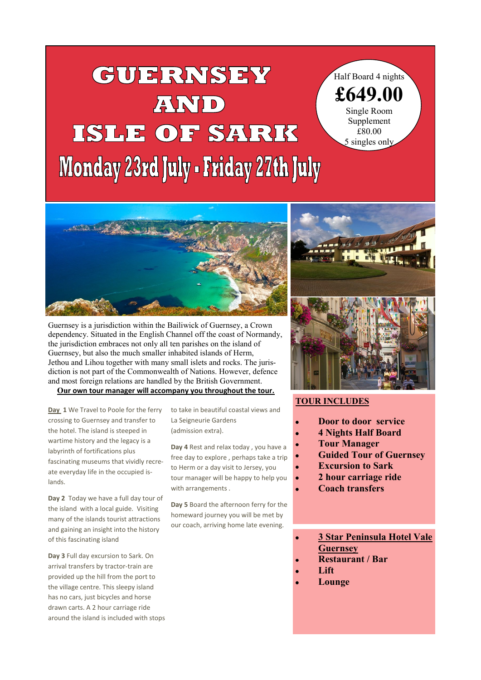## i<br>I **GUERNSEY** AND ISLE OF SARK **Monday 23rd July - Friday 27th July**

Half Board 4 nights **£649.00** Single Room Supplement £80.00

5 singles only



Guernsey is a jurisdiction within the [Bailiwick of Guernsey,](https://en.wikipedia.org/wiki/Bailiwick_of_Guernsey) a [Crown](https://en.wikipedia.org/wiki/Crown_dependency)  [dependency.](https://en.wikipedia.org/wiki/Crown_dependency) Situated in the [English Channel](https://en.wikipedia.org/wiki/English_Channel) off the coast of [Normandy,](https://en.wikipedia.org/wiki/Normandy)  the jurisdiction embraces not only all [ten parishes](https://en.wikipedia.org/wiki/Guernsey#Parishes) on the island of Guernsey, but also the much smaller inhabited islands of [Herm,](https://en.wikipedia.org/wiki/Herm) [Jethou](https://en.wikipedia.org/wiki/Jethou) and [Lihou](https://en.wikipedia.org/wiki/Lihou) together with many small islets and rocks. The jurisdiction is not part of the [Commonwealth of Nations.](https://en.wikipedia.org/wiki/Commonwealth_of_Nations) However, defence and most foreign relations are handled by the British Government. **Our own tour manager will accompany you throughout the tour.**

**Day 1** We Travel to Poole for the ferry crossing to Guernsey and transfer to the hotel. The island is steeped in wartime history and the legacy is a labyrinth of fortifications plus fascinating museums that vividly recreate everyday life in the occupied islands.

**Day 2** Today we have a full day tour of the island with a local guide. Visiting many of the islands tourist attractions and gaining an insight into the history of this fascinating island

**Day 3** Full day excursion to Sark. On arrival transfers by tractor-train are provided up the hill from the port to the village centre. This sleepy island has no cars, just bicycles and horse drawn carts. A 2 hour carriage ride around the island is included with stops to take in beautiful coastal views and La Seigneurie Gardens (admission extra).

**Day 4** Rest and relax today , you have a free day to explore , perhaps take a trip to Herm or a day visit to Jersey, you tour manager will be happy to help you with arrangements .

**Day 5** Board the afternoon ferry for the homeward journey you will be met by our coach, arriving home late evening.



## **TOUR INCLUDES**

- **Door to door service**
- **4 Nights Half Board**
	- **Tour Manager**
- **Guided Tour of Guernsey**
- **Excursion to Sark**
- **2 hour carriage ride**
	- **Coach transfers**
	- **3 Star Peninsula Hotel Vale Guernsey**
- **Restaurant / Bar**
- **Lift**
- **Lounge**